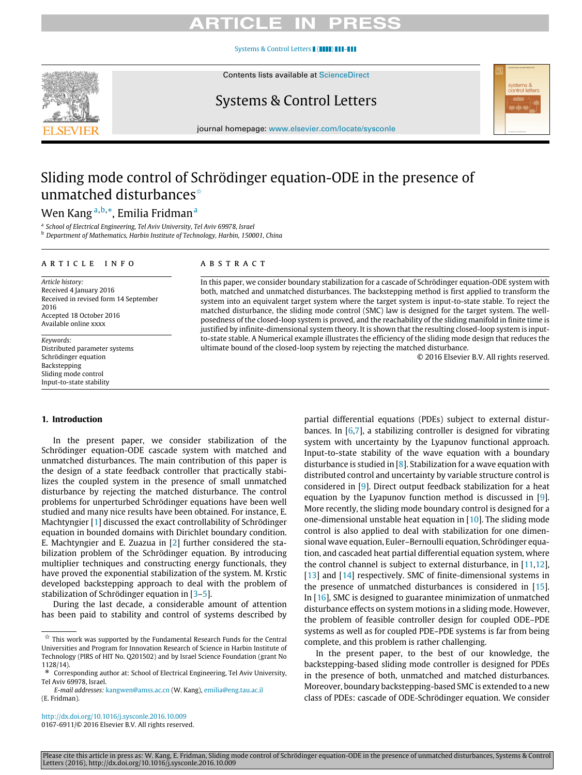# ICI E IN

### [Systems & Control Letters](http://dx.doi.org/10.1016/j.sysconle.2016.10.009) ( ( 1111) 111-111

Contents lists available at [ScienceDirect](http://www.elsevier.com/locate/sysconle)



# Systems & Control Letters

journal homepage: [www.elsevier.com/locate/sysconle](http://www.elsevier.com/locate/sysconle)



# Sliding mode control of Schrödinger equation-ODE in the presence of unmatched disturbances<sup>☆</sup>

# Wen Kang <sup>[a,](#page-0-1)[b,](#page-0-2)</sup>[\\*](#page-0-3), Emili[a](#page-0-1) Fridman <sup>a</sup>

<span id="page-0-1"></span>a *School of Electrical Engineering, Tel Aviv University, Tel Aviv 69978, Israel*

<span id="page-0-2"></span><sup>b</sup> *Department of Mathematics, Harbin Institute of Technology, Harbin, 150001, China*

### a r t i c l e i n f o

*Article history:* Received 4 January 2016 Received in revised form 14 September 2016 Accepted 18 October 2016 Available online xxxx

*Keywords:* Distributed parameter systems Schrödinger equation Backstepping Sliding mode control Input-to-state stability

### A B S T R A C T

In this paper, we consider boundary stabilization for a cascade of Schrödinger equation-ODE system with both, matched and unmatched disturbances. The backstepping method is first applied to transform the system into an equivalent target system where the target system is input-to-state stable. To reject the matched disturbance, the sliding mode control (SMC) law is designed for the target system. The wellposedness of the closed-loop system is proved, and the reachability of the sliding manifold in finite time is justified by infinite-dimensional system theory. It is shown that the resulting closed-loop system is inputto-state stable. A Numerical example illustrates the efficiency of the sliding mode design that reduces the ultimate bound of the closed-loop system by rejecting the matched disturbance.

© 2016 Elsevier B.V. All rights reserved.

### **1. Introduction**

In the present paper, we consider stabilization of the Schrödinger equation-ODE cascade system with matched and unmatched disturbances. The main contribution of this paper is the design of a state feedback controller that practically stabilizes the coupled system in the presence of small unmatched disturbance by rejecting the matched disturbance. The control problems for unperturbed Schrödinger equations have been well studied and many nice results have been obtained. For instance, E. Machtyngier [\[1\]](#page-8-0) discussed the exact controllability of Schrödinger equation in bounded domains with Dirichlet boundary condition. E. Machtyngier and E. Zuazua in [\[2\]](#page-8-1) further considered the stabilization problem of the Schrödinger equation. By introducing multiplier techniques and constructing energy functionals, they have proved the exponential stabilization of the system. M. Krstic developed backstepping approach to deal with the problem of stabilization of Schrödinger equation in [\[3](#page-8-2)[–5\]](#page-8-3).

During the last decade, a considerable amount of attention has been paid to stability and control of systems described by

<http://dx.doi.org/10.1016/j.sysconle.2016.10.009> 0167-6911/© 2016 Elsevier B.V. All rights reserved. partial differential equations (PDEs) subject to external disturbances. In [\[6](#page-8-4)[,7\]](#page-8-5), a stabilizing controller is designed for vibrating system with uncertainty by the Lyapunov functional approach. Input-to-state stability of the wave equation with a boundary disturbance is studied in  $[8]$ . Stabilization for a wave equation with distributed control and uncertainty by variable structure control is considered in [\[9\]](#page-8-7). Direct output feedback stabilization for a heat equation by the Lyapunov function method is discussed in [\[9\]](#page-8-7). More recently, the sliding mode boundary control is designed for a one-dimensional unstable heat equation in [\[10\]](#page-8-8). The sliding mode control is also applied to deal with stabilization for one dimensional wave equation, Euler–Bernoulli equation, Schrödinger equation, and cascaded heat partial differential equation system, where the control channel is subject to external disturbance, in [\[11](#page-8-9)[,12\]](#page-8-10), [\[13\]](#page-8-11) and [\[14\]](#page-8-12) respectively. SMC of finite-dimensional systems in the presence of unmatched disturbances is considered in [\[15\]](#page-8-13). In [\[16\]](#page-8-14), SMC is designed to guarantee minimization of unmatched disturbance effects on system motions in a sliding mode. However, the problem of feasible controller design for coupled ODE–PDE systems as well as for coupled PDE–PDE systems is far from being complete, and this problem is rather challenging.

In the present paper, to the best of our knowledge, the backstepping-based sliding mode controller is designed for PDEs in the presence of both, unmatched and matched disturbances. Moreover, boundary backstepping-based SMC is extended to a new class of PDEs: cascade of ODE-Schrödinger equation. We consider

<span id="page-0-0"></span> $\overleftrightarrow{\mathbf{x}}$  This work was supported by the Fundamental Research Funds for the Central Universities and Program for Innovation Research of Science in Harbin Institute of Technology (PIRS of HIT No. Q201502) and by Israel Science Foundation (grant No 1128/14).

<span id="page-0-3"></span><sup>\*</sup> Tel Aviv 69978, Israel. Corresponding author at: School of Electrical Engineering, Tel Aviv University,

*E-mail addresses:* [kangwen@amss.ac.cn](mailto:kangwen@amss.ac.cn) (W. Kang), [emilia@eng.tau.ac.il](mailto:emilia@eng.tau.ac.il) (E. Fridman).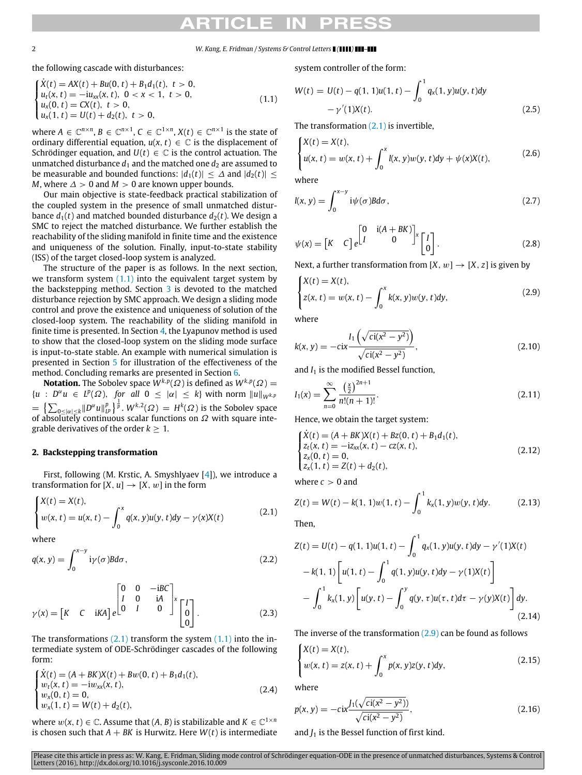the following cascade with disturbances:

<span id="page-1-0"></span>
$$
\begin{cases}\n\dot{X}(t) = AX(t) + Bu(0, t) + B_1 d_1(t), \ t > 0, \\
u_t(x, t) = -iu_{xx}(x, t), \ 0 < x < 1, \ t > 0, \\
u_x(0, t) = CX(t), \ t > 0, \\
u_x(1, t) = U(t) + d_2(t), \ t > 0,\n\end{cases}
$$
\n(1.1)

where  $A \in \mathbb{C}^{n \times n}$ ,  $B \in \mathbb{C}^{n \times 1}$ ,  $C \in \mathbb{C}^{1 \times n}$ ,  $X(t) \in \mathbb{C}^{n \times 1}$  is the state of ordinary differential equation,  $u(x, t) \in \mathbb{C}$  is the displacement of Schrödinger equation, and  $U(t) \in \mathbb{C}$  is the control actuation. The unmatched disturbance  $d_1$  and the matched one  $d_2$  are assumed to be measurable and bounded functions:  $|d_1(t)| \leq \Delta$  and  $|d_2(t)| \leq$ *M*, where  $\Delta > 0$  and  $M > 0$  are known upper bounds.

Our main objective is state-feedback practical stabilization of the coupled system in the presence of small unmatched disturbance  $d_1(t)$  and matched bounded disturbance  $d_2(t)$ . We design a SMC to reject the matched disturbance. We further establish the reachability of the sliding manifold in finite time and the existence and uniqueness of the solution. Finally, input-to-state stability (ISS) of the target closed-loop system is analyzed.

The structure of the paper is as follows. In the next section, we transform system  $(1.1)$  into the equivalent target system by the backstepping method. Section [3](#page-1-1) is devoted to the matched disturbance rejection by SMC approach. We design a sliding mode control and prove the existence and uniqueness of solution of the closed-loop system. The reachability of the sliding manifold in finite time is presented. In Section [4,](#page-4-0) the Lyapunov method is used to show that the closed-loop system on the sliding mode surface is input-to-state stable. An example with numerical simulation is presented in Section [5](#page-5-0) for illustration of the effectiveness of the method. Concluding remarks are presented in Section [6.](#page-6-0)

**Notation.** The Sobolev space  $W^{k,p}(\Omega)$  is defined as  $W^{k,p}(\Omega) =$  $\{u : D^{\alpha}u \in L^{p}(\Omega), \text{ for all } 0 \leq |\alpha| \leq k\} \text{ with norm } ||u||_{W^{k,p}}$  $=\ \bigl\{ \sum_{0\leq|\alpha|\leq k} \lVert D^\alpha u \rVert_{L^p}^p \bigr\}^{\frac{1}{p}}. \ W^{k,2}(\varOmega) \, = \, H^k(\varOmega) \text{ is the Sobolev space} \bigr\}$ of absolutely continuous scalar functions on  $\Omega$  with square integrable derivatives of the order  $k \geq 1$ .

### **2. Backstepping transformation**

First, following (M. Krstic, A. Smyshlyaev [\[4\]](#page-8-15)), we introduce a transformation for  $[X, u] \rightarrow [X, w]$  in the form

<span id="page-1-2"></span>
$$
\begin{cases} X(t) = X(t), \\ w(x, t) = u(x, t) - \int_0^x q(x, y)u(y, t)dy - \gamma(x)X(t) \end{cases}
$$
 (2.1)

where

$$
q(x, y) = \int_0^{x-y} i\gamma(\sigma) B d\sigma, \qquad (2.2)
$$

$$
\gamma(x) = \begin{bmatrix} K & C & i \kappa A \end{bmatrix} e^{\begin{bmatrix} 0 & 0 & -iBC \\ I & 0 & iA \\ 0 & I & 0 \end{bmatrix} x \begin{bmatrix} I \\ 0 \\ 0 \end{bmatrix}.
$$
 (2.3)

The transformations  $(2.1)$  transform the system  $(1.1)$  into the intermediate system of ODE-Schrödinger cascades of the following form:

$$
\begin{cases}\n\dot{X}(t) = (A + BK)X(t) + Bw(0, t) + B_1d_1(t), \\
w_t(x, t) = -iw_{xx}(x, t), \\
w_x(0, t) = 0, \\
w_x(1, t) = W(t) + d_2(t),\n\end{cases}
$$
\n(2.4)

where  $w(x, t) \in \mathbb{C}$ . Assume that  $(A, B)$  is stabilizable and  $K \in \mathbb{C}^{1 \times n}$ is chosen such that  $A + BK$  is Hurwitz. Here  $W(t)$  is intermediate system controller of the form:

$$
W(t) = U(t) - q(1, 1)u(1, t) - \int_0^1 q_x(1, y)u(y, t)dy - \gamma'(1)X(t).
$$
\n(2.5)

The transformation [\(2.1\)](#page-1-2) is invertible,

$$
\begin{cases} X(t) = X(t), \\ u(x, t) = w(x, t) + \int_0^x l(x, y)w(y, t)dy + \psi(x)X(t), \end{cases}
$$
 (2.6)

where

$$
I(x, y) = \int_0^{x-y} i\psi(\sigma)Bd\sigma,
$$
\n(2.7)

$$
\psi(x) = \begin{bmatrix} K & C \end{bmatrix} e^{\begin{bmatrix} 0 & i(A+BK) \\ I & 0 \end{bmatrix} x} \begin{bmatrix} I \\ 0 \end{bmatrix}.
$$
 (2.8)

Next, a further transformation from  $[X, w] \rightarrow [X, z]$  is given by

<span id="page-1-3"></span>
$$
\begin{cases} X(t) = X(t), \\ z(x, t) = w(x, t) - \int_0^x k(x, y) w(y, t) dy, \end{cases}
$$
 (2.9)

where

$$
k(x, y) = -\operatorname{cix} \frac{I_1\left(\sqrt{\operatorname{ci}(x^2 - y^2)}\right)}{\sqrt{\operatorname{ci}(x^2 - y^2)}},
$$
\n(2.10)

and  $I_1$  is the modified Bessel function,

$$
I_1(x) = \sum_{n=0}^{\infty} \frac{\left(\frac{x}{2}\right)^{2n+1}}{n!(n+1)!}.
$$
\n(2.11)

Hence, we obtain the target system:

<span id="page-1-4"></span>
$$
\begin{cases}\n\dot{X}(t) = (A + BK)X(t) + Bz(0, t) + B_1d_1(t), \\
z_t(x, t) = -iz_{xx}(x, t) - cz(x, t), \\
z_x(0, t) = 0, \\
z_x(1, t) = Z(t) + d_2(t),\n\end{cases}
$$
\n(2.12)

where  $c > 0$  and

$$
Z(t) = W(t) - k(1, 1)w(1, t) - \int_0^1 k_x(1, y)w(y, t)dy.
$$
 (2.13)

Then,

$$
Z(t) = U(t) - q(1, 1)u(1, t) - \int_0^1 q_x(1, y)u(y, t)dy - \gamma'(1)X(t)
$$
  
- k(1, 1)  $\left[ u(1, t) - \int_0^1 q(1, y)u(y, t)dy - \gamma(1)X(t) \right]$   
-  $\int_0^1 k_x(1, y) \left[ u(y, t) - \int_0^y q(y, \tau)u(\tau, t) d\tau - \gamma(y)X(t) \right] dy.$  (2.14)

The inverse of the transformation  $(2.9)$  can be found as follows

$$
\begin{cases} X(t) = X(t), \\ w(x, t) = z(x, t) + \int_0^x p(x, y)z(y, t)dy, \end{cases}
$$
(2.15)

where

$$
p(x, y) = -cix \frac{J_1(\sqrt{ci(x^2 - y^2)})}{\sqrt{ci(x^2 - y^2)}},
$$
\n(2.16)

<span id="page-1-1"></span>and  $J_1$  is the Bessel function of first kind.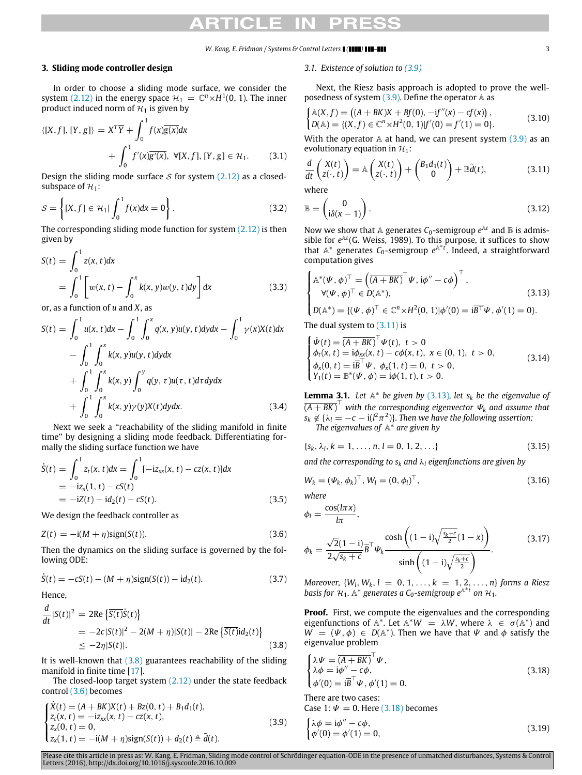### **3. Sliding mode controller design**

In order to choose a sliding mode surface, we consider the system [\(2.12\)](#page-1-4) in the energy space  $\mathcal{H}_1 = \mathbb{C}^n \times H^1(0, 1)$ . The inner product induced norm of  $H_1$  is given by

$$
\langle [X, f], [Y, g] \rangle = X^T \overline{Y} + \int_0^1 f(x) \overline{g(x)} dx
$$
  
+ 
$$
\int_0^1 f'(x) \overline{g'(x)}, \ \forall [X, f], [Y, g] \in \mathcal{H}_1. \tag{3.1}
$$

Design the sliding mode surface  $S$  for system  $(2.12)$  as a closedsubspace of  $H_1$ :

<span id="page-2-11"></span>
$$
S = \left\{ [X, f] \in \mathcal{H}_1 | \int_0^1 f(x) dx = 0 \right\}.
$$
 (3.2)

The corresponding sliding mode function for system  $(2.12)$  is then given by

<span id="page-2-10"></span>
$$
S(t) = \int_0^1 z(x, t) dx
$$
  
= 
$$
\int_0^1 \left[ w(x, t) - \int_0^x k(x, y) w(y, t) dy \right] dx
$$
 (3.3)

or, as a function of *u* and *X*, as

$$
S(t) = \int_0^1 u(x, t)dx - \int_0^1 \int_0^x q(x, y)u(y, t)dydx - \int_0^1 \gamma(x)X(t)dx - \int_0^1 \int_0^x k(x, y)u(y, t)dydx + \int_0^1 \int_0^x k(x, y) \int_0^y q(y, \tau)u(\tau, t) d\tau dydx + \int_0^1 \int_0^x k(x, y)\gamma(y)X(t)dydx.
$$
 (3.4)

Next we seek a ''reachability of the sliding manifold in finite time'' by designing a sliding mode feedback. Differentiating formally the sliding surface function we have

$$
\dot{S}(t) = \int_0^1 z_t(x, t) dx = \int_0^1 [-iz_{xx}(x, t) - cz(x, t)] dx
$$
  
= -iz<sub>x</sub>(1, t) - cS(t)  
= -iZ(t) - id<sub>2</sub>(t) - cS(t). (3.5)

We design the feedback controller as

<span id="page-2-1"></span>
$$
Z(t) = -i(M + \eta)\text{sign}(S(t)).
$$
\n(3.6)

Then the dynamics on the sliding surface is governed by the following ODE:

$$
\dot{S}(t) = -cS(t) - (M + \eta)\text{sign}(S(t)) - id_2(t). \tag{3.7}
$$

Hence,

<span id="page-2-0"></span>
$$
\frac{d}{dt}|S(t)|^2 = 2\text{Re}\left\{\overline{S(t)}\dot{S}(t)\right\}
$$
  
= -2c|S(t)|^2 - 2(M + \eta)|S(t)| - 2\text{Re}\left\{\overline{S(t)}\dot{d}\_2(t)\right\}  
\le -2\eta|S(t)|. (3.8)

It is well-known that  $(3.8)$  guarantees reachability of the sliding manifold in finite time [\[17\]](#page-8-16).

The closed-loop target system [\(2.12\)](#page-1-4) under the state feedback control [\(3.6\)](#page-2-1) becomes

<span id="page-2-2"></span>
$$
\begin{cases}\n\dot{X}(t) = (A + BK)X(t) + Bz(0, t) + B_1d_1(t), \\
z_t(x, t) = -iz_{xx}(x, t) - cz(x, t), \\
z_x(0, t) = 0, \\
z_x(1, t) = -i(M + \eta)\text{sign}(S(t)) + d_2(t) \triangleq \tilde{d}(t).\n\end{cases}
$$
\n(3.9)

### *3.1. Existence of solution to [\(3.9\)](#page-2-2)*

Next, the Riesz basis approach is adopted to prove the wellposedness of system  $(3.9)$ . Define the operator  $\mathbb A$  as

<span id="page-2-7"></span>
$$
\begin{cases} \mathbb{A}(X,f) = \left( (A + BK)X + Bf(0), -if''(x) - cf(x) \right), \\ D(\mathbb{A}) = \{ (X,f) \in \mathbb{C}^n \times H^2(0,1) | f'(0) = f'(1) = 0 \}. \end{cases}
$$
(3.10)

With the operator  $A$  at hand, we can present system  $(3.9)$  as an evolutionary equation in  $\mathcal{H}_1$ :

<span id="page-2-3"></span>
$$
\frac{d}{dt}\begin{pmatrix} X(t) \\ Z(\cdot, t) \end{pmatrix} = \mathbb{A}\begin{pmatrix} X(t) \\ Z(\cdot, t) \end{pmatrix} + \begin{pmatrix} B_1 d_1(t) \\ 0 \end{pmatrix} + \mathbb{B}\tilde{d}(t),
$$
\n(3.11)

where

$$
\mathbb{B} = \begin{pmatrix} 0 \\ i\delta(x-1) \end{pmatrix} . \tag{3.12}
$$

Now we show that  $\mathbb A$  generates  $C_0$ -semigroup  $e^{\mathbb A t}$  and  $\mathbb B$  is admissible for  $e^{\mathbb{A}t}$  (G. Weiss, 1989). To this purpose, it suffices to show that  $A^*$  generates  $C_0$ -semigroup  $e^{A^*t}$ . Indeed, a straightforward computation gives

<span id="page-2-4"></span>
$$
\begin{cases}\n\mathbb{A}^*(\Psi, \phi)^\top = \left(\overline{(A + BK)}^\top \Psi, i\phi'' - c\phi\right)^\top, \\
\forall (\Psi, \phi)^\top \in D(\mathbb{A}^*), \\
D(\mathbb{A}^*) = \{(\Psi, \phi)^\top \in \mathbb{C}^n \times H^2(0, 1)|\phi'(0) = i\overline{B}^\top \Psi, \phi'(1) = 0\}.\n\end{cases}
$$
\n(3.13)

The dual system to  $(3.11)$  is

<span id="page-2-9"></span>
$$
\begin{cases}\n\dot{\Psi}(t) = \overline{(A + BK)}^{\top} \Psi(t), \ t > 0 \\
\phi_t(x, t) = i\phi_{xx}(x, t) - c\phi(x, t), \ x \in (0, 1), \ t > 0, \\
\phi_x(0, t) = i\overline{B}^{\top} \Psi, \ \phi_x(1, t) = 0, \ t > 0, \\
Y_1(t) = \mathbb{B}^*(\Psi, \phi) = i\phi(1, t), \ t > 0.\n\end{cases}
$$
\n(3.14)

<span id="page-2-8"></span>**Lemma 3.1.** Let  $A^*$  be given by [\(3.13\)](#page-2-4), let  $s_k$  be the eigenvalue of  $\overline{(A+BK)}^{\top}$  with the corresponding eigenvector  $\Psi_k$  and assume that  $s_k \notin {\lambda}_l = -c - i(l^2 \pi^2)$ . Then we have the following assertion: *The eigenvalues of* A ∗ *are given by*

 ${s_k, \lambda_l, k = 1, \ldots, n, l = 0, 1, 2, \ldots}$  (3.15)

*and the corresponding to s<sup>k</sup> and* λ*<sup>l</sup> eigenfunctions are given by*

$$
W_k = (\Psi_k, \phi_k)^{\top}, W_l = (0, \phi_l)^{\top},
$$
\n(3.16)

*where*

<span id="page-2-6"></span>
$$
\phi_l = \frac{\cos(l\pi x)}{l\pi},
$$
\n
$$
\phi_k = \frac{\sqrt{2}(1-i)}{2\sqrt{s_k+c}} \overline{B}^\top \psi_k \frac{\cosh\left((1-i)\sqrt{\frac{s_k+c}{2}}(1-x)\right)}{\sinh\left((1-i)\sqrt{\frac{s_k+c}{2}}\right)}.
$$
\n(3.17)

*Moreover,*  $\{W_l, W_k, l = 0, 1, ..., k = 1, 2, ..., n\}$  *forms a Riesz basis for*  $H_1$ *.* A<sup>\*</sup> generates a C<sub>0</sub>-semigroup  $e^{A*t}$  on  $H_1$ *.* 

**Proof.** First, we compute the eigenvalues and the corresponding eigenfunctions of  $\mathbb{A}^*$ . Let  $\mathbb{A}^*W = \lambda W$ , where  $\lambda \in \sigma(\mathbb{A}^*)$  and  $W = (\Psi, \phi) \in D(\mathbb{A}^*)$ . Then we have that  $\Psi$  and  $\phi$  satisfy the eigenvalue problem

<span id="page-2-5"></span>
$$
\begin{cases}\n\lambda \Psi = \overline{(A + BK)}^{\top} \Psi, \\
\lambda \phi = i \phi'' - c \phi, \\
\phi'(0) = i \overline{B}^{\top} \Psi, \phi'(1) = 0.\n\end{cases}
$$
\n(3.18)

There are two cases: Case 1:  $\Psi = 0$ . Here [\(3.18\)](#page-2-5) becomes

$$
\begin{cases}\n\lambda \phi = i\phi'' - c\phi, \\
\phi'(0) = \phi'(1) = 0,\n\end{cases}
$$
\n(3.19)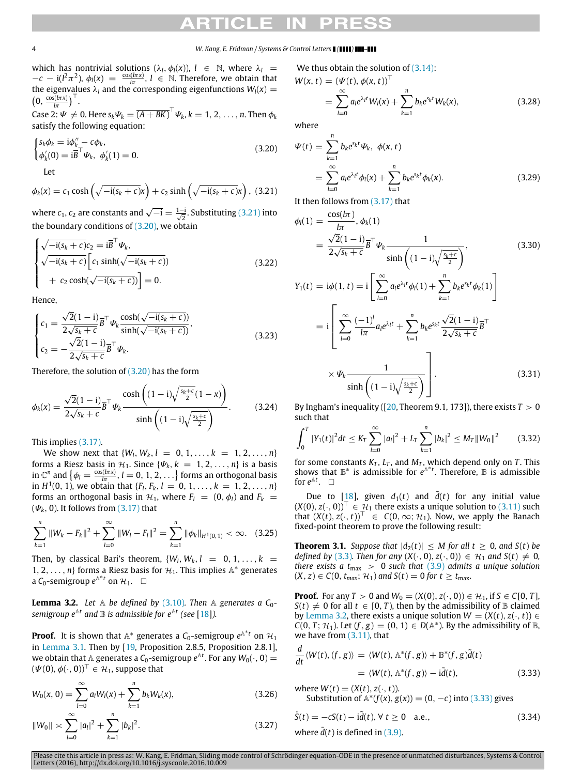which has nontrivial solutions  $(\lambda_l, \phi_l(x))$ ,  $l \in \mathbb{N}$ , where  $\lambda_l =$  $-c - i(l^2 \pi^2)$ ,  $\phi_l(x) = \frac{\cos(l\pi x)}{l\pi}$ ,  $l \in \mathbb{N}$ . Therefore, we obtain that the eigenvalues  $\lambda_l$  and the corresponding eigenfunctions  $W_l(x)$  =  $\left(0, \frac{\cos(l\pi x)}{l\pi}\right)^{\top}$ .

 $\overrightarrow{C}$  ase  $2: \Psi \neq 0$ . Here  $s_k \Psi_k = \overline{(A + BK)}^\top \Psi_k$ ,  $k = 1, 2, \ldots, n$ . Then  $\phi_k$ satisfy the following equation:

<span id="page-3-1"></span>
$$
\begin{cases}\ns_k \phi_k = \mathrm{i} \phi_k'' - c \phi_k, \\
\phi_k'(0) = \mathrm{i} \overline{B}^\top \Psi_k, \ \phi_k'(1) = 0.\n\end{cases}
$$
\n(3.20)

Let

<span id="page-3-0"></span>
$$
\phi_k(x) = c_1 \cosh\left(\sqrt{-i(s_k + c)}x\right) + c_2 \sinh\left(\sqrt{-i(s_k + c)}x\right), \quad (3.21)
$$

where  $c_1$ ,  $c_2$  are constants and  $\sqrt{-1} = \frac{1-i}{\sqrt{2}}$ . Substituting [\(3.21\)](#page-3-0) into the boundary conditions of  $(3.20)$ , we obtain

$$
\begin{cases}\n\sqrt{-\mathrm{i}(s_k+c)}c_2 = \mathrm{i}\overline{B}^\top \Psi_k, \\
\sqrt{-\mathrm{i}(s_k+c)}\left[c_1\sinh(\sqrt{-\mathrm{i}(s_k+c)})\right. \\
\left.+ c_2\cosh(\sqrt{-\mathrm{i}(s_k+c)})\right] = 0.\n\end{cases}
$$
\n(3.22)

Hence,

$$
\begin{cases}\nc_1 = \frac{\sqrt{2}(1-i)}{2\sqrt{s_k+c}} \overline{B}^\top \psi_k \frac{\cosh(\sqrt{-i(s_k+c)})}{\sinh(\sqrt{-i(s_k+c)})},\\c_2 = -\frac{\sqrt{2}(1-i)}{2\sqrt{s_k+c}} \overline{B}^\top \psi_k.\n\end{cases}
$$
\n(3.23)

Therefore, the solution of [\(3.20\)](#page-3-1) has the form

$$
\phi_k(x) = \frac{\sqrt{2}(1-i)}{2\sqrt{s_k+c}} \overline{B}^\top \psi_k \frac{\cosh\left((1-i)\sqrt{\frac{s_k+c}{2}}(1-x)\right)}{\sinh\left((1-i)\sqrt{\frac{s_k+c}{2}}\right)}.
$$
(3.24)

This implies [\(3.17\).](#page-2-6)

We show next that  $\{W_l, W_k, l = 0, 1, ..., k = 1, 2, ..., n\}$ forms a Riesz basis in  $\mathcal{H}_1$ . Since  $\{\Psi_k, k = 1, 2, \ldots, n\}$  is a basis in  $\mathbb{C}^n$  and  $\{\phi_l = \frac{\cos(l\pi x)}{l\pi}, l = 0, 1, 2, \ldots\}$  forms an orthogonal basis in  $H^1(0, 1)$ , we obtain that  $\{F_l, F_k, l = 0, 1, \ldots, k = 1, 2, \ldots, n\}$ forms an orthogonal basis in  $H_1$ , where  $F_l = (0, \phi_l)$  and  $F_k =$  $(\Psi_k, 0)$ . It follows from [\(3.17\)](#page-2-6) that

$$
\sum_{k=1}^{n} \|W_k - F_k\|^2 + \sum_{l=0}^{\infty} \|W_l - F_l\|^2 = \sum_{k=1}^{n} \|\phi_k\|_{H^1(0,1)} < \infty. \quad (3.25)
$$

Then, by classical Bari's theorem,  $\{W_l, W_k, l = 0, 1, \ldots, k = 1\}$ 1, 2, . . . , *n*} forms a Riesz basis for  $H_1$ . This implies  $A^*$  generates  $a$   $C_0$ -semigroup  $e^{A*t}$  on  $H_1$ .  $\square$ 

<span id="page-3-2"></span>**Lemma 3.2.** Let  $\mathbb A$  be defined by [\(3.10\)](#page-2-7). Then  $\mathbb A$  generates a  $C_0$  $s$ emigroup  $e^{\mathbb{A}t}$  and  $\mathbb B$  is admissible for  $e^{\mathbb{A}t}$  (see [\[18\]](#page-8-17)).

**Proof.** It is shown that  $\mathbb{A}^*$  generates a  $\mathcal{C}_0$ -semigroup  $e^{\mathbb{A}^*t}$  on  $\mathcal{H}_1$ in [Lemma 3.1.](#page-2-8) Then by [\[19,](#page-8-18) Proposition 2.8.5, Proposition 2.8.1], we obtain that  $\mathbb A$  generates a  $\mathcal C_0$ -semigroup  $e^{\mathbb A t}$ . For any  $W_0(\cdot,0)=0$  $(\Psi(0), \phi(\cdot, 0))^\top \in \mathcal{H}_1$ , suppose that

$$
W_0(x, 0) = \sum_{l=0}^{\infty} a_l W_l(x) + \sum_{k=1}^n b_k W_k(x),
$$
\n(3.26)

$$
||W_0|| \approx \sum_{l=0}^{\infty} |a_l|^2 + \sum_{k=1}^{n} |b_k|^2.
$$
 (3.27)

We thus obtain the solution of  $(3.14)$ :

$$
W(x, t) = (\Psi(t), \phi(x, t))^\top
$$
  
= 
$$
\sum_{l=0}^{\infty} a_l e^{\lambda_l t} W_l(x) + \sum_{k=1}^n b_k e^{s_k t} W_k(x),
$$
 (3.28)

where

$$
\Psi(t) = \sum_{k=1}^{n} b_k e^{s_k t} \Psi_k, \ \phi(x, t)
$$
  
= 
$$
\sum_{l=0}^{\infty} a_l e^{\lambda_l t} \phi_l(x) + \sum_{k=1}^{n} b_k e^{s_k t} \phi_k(x).
$$
 (3.29)

It then follows from [\(3.17\)](#page-2-6) that

$$
\phi_{l}(1) = \frac{\cos(l\pi)}{l\pi}, \phi_{k}(1)
$$
\n
$$
= \frac{\sqrt{2}(1-i)}{2\sqrt{s_{k} + c}} \overline{B}^{\top} \Psi_{k} \frac{1}{\sinh\left((1-i)\sqrt{\frac{s_{k}+c}{2}}\right)},
$$
\n
$$
Y_{1}(t) = i\phi(1, t) = i\left[\sum_{l=0}^{\infty} a_{l}e^{\lambda_{l}t}\phi_{l}(1) + \sum_{k=1}^{n} b_{k}e^{s_{k}t}\phi_{k}(1)\right]
$$
\n
$$
= i\left[\sum_{l=0}^{\infty} \frac{(-1)^{l}}{l\pi}a_{l}e^{\lambda_{l}t} + \sum_{k=1}^{n} b_{k}e^{s_{k}t} \frac{\sqrt{2}(1-i)}{2\sqrt{s_{k} + c}} \overline{B}^{\top}
$$
\n
$$
\times \Psi_{k} \frac{1}{\sinh\left((1-i)\sqrt{\frac{s_{k}+c}{2}}\right)}\right].
$$
\n(3.31)

By Ingham's inequality ( $[20,$  Theorem 9.1, 173]), there exists  $T > 0$ such that

$$
\int_0^T |Y_1(t)|^2 dt \leq K_T \sum_{l=0}^\infty |a_l|^2 + L_T \sum_{k=1}^n |b_k|^2 \leq M_T ||W_0||^2 \qquad (3.32)
$$

for some constants  $K_T$ ,  $L_T$ , and  $M_T$ , which depend only on  $T$ . This shows that  $\mathbb{B}^*$  is admissible for  $e^{A^*t}$ . Therefore,  $\mathbb{B}$  is admissible for  $e^{\mathbb{A}t}$ .  $\square$ 

Due to [\[18\]](#page-8-17), given  $d_1(t)$  and  $\overline{d}(t)$  for any initial value  $(X(0), z(·, 0))$ <sup>T</sup> ∈  $\mathcal{H}_1$  there exists a unique solution to [\(3.11\)](#page-2-3) such that  $(X(t), z(\cdot, t))^{\top}$  ∈  $C(0, \infty; \mathcal{H}_1)$ . Now, we apply the Banach fixed-point theorem to prove the following result:

**Theorem 3.1.** *Suppose that*  $|d_2(t)| \leq M$  *for all t*  $\geq 0$ *, and S*(*t*) *be defined by* [\(3.3\)](#page-2-10)*. Then for any*  $(X(\cdot, 0), z(\cdot, 0)) \in \mathcal{H}_1$  *and*  $S(t) \neq 0$ *, there exists a t*max > 0 *such that* [\(3.9\)](#page-2-2) *admits a unique solution*  $(X, z) \in C(0, t_{max}; \mathcal{H}_1)$  *and*  $S(t) = 0$  *for*  $t \ge t_{max}$ .

**Proof.** For any  $T > 0$  and  $W_0 = (X(0), z(\cdot, 0)) \in \mathcal{H}_1$ , if  $S \in C[0, T]$ ,  $S(t) \neq 0$  for all  $t \in [0, T)$ , then by the admissibility of B claimed by [Lemma 3.2,](#page-3-2) there exists a unique solution  $W = (X(t), z(\cdot, t)) \in$  $C(0, T; \mathcal{H}_1)$ . Let  $(f, g) = (0, 1) \in D(\mathbb{A}^*)$ . By the admissibility of  $\mathbb{B}$ , we have from [\(3.11\),](#page-2-3) that

<span id="page-3-3"></span>
$$
\frac{d}{dt} \langle W(t), (f, g) \rangle = \langle W(t), \mathbb{A}^* (f, g) \rangle + \mathbb{B}^* (f, g) \tilde{d}(t) \n= \langle W(t), \mathbb{A}^* (f, g) \rangle - \mathrm{i} \tilde{d}(t),
$$
\n(3.33)

where 
$$
W(t) = (X(t), z(\cdot, t))
$$
.  
Substitution of  $\mathbb{A}^*(f(x), g(x)) = (0, -c)$  into (3.33) gives

<span id="page-3-4"></span>
$$
\dot{S}(t) = -cS(t) - i\tilde{d}(t), \forall t \ge 0 \quad \text{a.e.,}
$$
  
where  $\tilde{d}(t)$  is defined in (3.9). (3.34)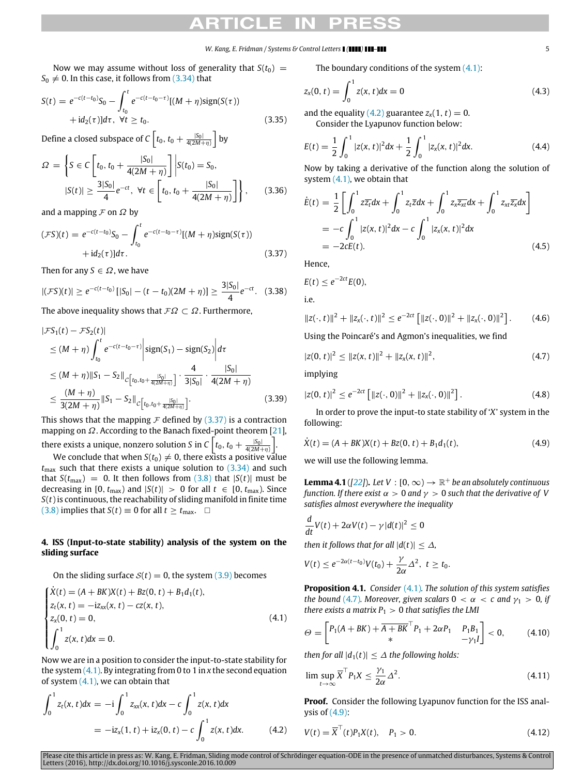Now we may assume without loss of generality that  $S(t_0)$  =  $S_0 \neq 0$ . In this case, it follows from [\(3.34\)](#page-3-4) that

$$
S(t) = e^{-c(t-t_0)}S_0 - \int_{t_0}^t e^{-c(t-t_0-\tau)}[(M+\eta)\text{sign}(S(\tau)) + id_2(\tau)]d\tau, \ \forall t \ge t_0.
$$
\n(3.35)

Define a closed subspace of  $C\left[t_0,t_0+\frac{|S_0|}{4(2M+\eta)}\right]$  by

$$
\Omega = \left\{ S \in C \left[ t_0, t_0 + \frac{|S_0|}{4(2M + \eta)} \right] \middle| S(t_0) = S_0, \right\}
$$
  

$$
|S(t)| \ge \frac{3|S_0|}{4} e^{-ct}, \forall t \in \left[ t_0, t_0 + \frac{|S_0|}{4(2M + \eta)} \right] \right\}, \quad (3.36)
$$

and a mapping  $\mathcal F$  on  $\Omega$  by

<span id="page-4-1"></span>
$$
(\mathcal{F}S)(t) = e^{-c(t-t_0)}S_0 - \int_{t_0}^t e^{-c(t-t_0-\tau)}[(M+\eta)\text{sign}(S(\tau)) + id_2(\tau)]d\tau.
$$
\n(3.37)

Then for any  $S \in \Omega$ , we have

$$
|(\mathcal{F}S)(t)| \geq e^{-c(t-t_0)}[|S_0|-(t-t_0)(2M+\eta)] \geq \frac{3|S_0|}{4}e^{-ct}.\quad(3.38)
$$

The above inequality shows that  $\mathcal{F}\Omega \subset \Omega$ . Furthermore,

$$
|\mathcal{F}S_1(t) - \mathcal{F}S_2(t)|
$$
  
\n
$$
\leq (M + \eta) \int_{t_0}^t e^{-c(t - t_0 - \tau)} \left| sign(S_1) - sign(S_2) \right| d\tau
$$
  
\n
$$
\leq (M + \eta) \|S_1 - S_2\|_{C[t_0, t_0 + \frac{|S_0|}{4(2M + \eta)}]} \cdot \frac{4}{3|S_0|} \cdot \frac{|S_0|}{4(2M + \eta)}
$$
  
\n
$$
\leq \frac{(M + \eta)}{3(2M + \eta)} \|S_1 - S_2\|_{C[t_0, t_0 + \frac{|S_0|}{4(2M + \eta)}]}.
$$
\n(3.39)

This shows that the mapping  $\mathcal F$  defined by [\(3.37\)](#page-4-1) is a contraction mapping on  $\Omega$ . According to the Banach fixed-point theorem [\[21\]](#page-8-20), there exists a unique, nonzero solution *S* in  $C\left[t_0, t_0 + \frac{|S_0|}{4(2M+\eta)}\right]$ .

We conclude that when  $S(t_0) \neq 0$ , there exists a positive value  $t_{\text{max}}$  such that there exists a unique solution to  $(3.34)$  and such that  $S(t_{\text{max}}) = 0$ . It then follows from [\(3.8\)](#page-2-0) that  $|S(t)|$  must be decreasing in [0,  $t_{\text{max}}$ ) and  $|S(t)| > 0$  for all  $t \in [0, t_{\text{max}})$ . Since *S*(*t*) is continuous, the reachability of sliding manifold in finite time [\(3.8\)](#page-2-0) implies that  $S(t) \equiv 0$  for all  $t \ge t_{\text{max}}$ .  $\Box$ 

## <span id="page-4-0"></span>**4. ISS (Input-to-state stability) analysis of the system on the sliding surface**

On the sliding surface  $S(t) = 0$ , the system [\(3.9\)](#page-2-2) becomes

<span id="page-4-2"></span>
$$
\begin{cases}\n\dot{X}(t) = (A + BK)X(t) + Bz(0, t) + B_1d_1(t), \\
z_t(x, t) = -iz_{xx}(x, t) - cz(x, t), \\
z_x(0, t) = 0, \\
\int_0^1 z(x, t)dx = 0.\n\end{cases}
$$
\n(4.1)

Now we are in a position to consider the input-to-state stability for the system [\(4.1\).](#page-4-2) By integrating from 0 to 1 in *x* the second equation of system  $(4.1)$ , we can obtain that

<span id="page-4-3"></span>
$$
\int_0^1 z_t(x, t) dx = -i \int_0^1 z_{xx}(x, t) dx - c \int_0^1 z(x, t) dx
$$
  
=  $-iz_x(1, t) + iz_x(0, t) - c \int_0^1 z(x, t) dx.$  (4.2)

The boundary conditions of the system  $(4.1)$ :

$$
z_x(0, t) = \int_0^1 z(x, t) dx = 0
$$
\n(4.3)

and the equality  $(4.2)$  guarantee  $z_x(1, t) = 0$ . Consider the Lyapunov function below:

$$
E(t) = \frac{1}{2} \int_0^1 |z(x, t)|^2 dx + \frac{1}{2} \int_0^1 |z_x(x, t)|^2 dx.
$$
 (4.4)

Now by taking a derivative of the function along the solution of system  $(4.1)$ , we obtain that

$$
\dot{E}(t) = \frac{1}{2} \left[ \int_0^1 z \overline{z_t} dx + \int_0^1 z_t \overline{z} dx + \int_0^1 z_x \overline{z_x} dx + \int_0^1 z_{xt} \overline{z_x} dx \right]
$$
  
\n
$$
= -c \int_0^1 |z(x, t)|^2 dx - c \int_0^1 |z_x(x, t)|^2 dx
$$
  
\n
$$
= -2cE(t). \tag{4.5}
$$

Hence,

$$
E(t)\leq e^{-2ct}E(0),
$$

i.e.

$$
||z(\cdot,t)||^2 + ||z_x(\cdot,t)||^2 \le e^{-2ct} \left[ ||z(\cdot,0)||^2 + ||z_x(\cdot,0)||^2 \right]. \tag{4.6}
$$

Using the Poincaré's and Agmon's inequalities, we find

<span id="page-4-4"></span>
$$
|z(0, t)|^2 \leq ||z(x, t)||^2 + ||z_x(x, t)||^2, \qquad (4.7)
$$

implying

<span id="page-4-7"></span>
$$
|z(0, t)|^2 \le e^{-2ct} \left[ ||z(\cdot, 0)||^2 + ||z_x(\cdot, 0)||^2 \right].
$$
 (4.8)

In order to prove the input-to state stability of '*X*' system in the following:

<span id="page-4-5"></span>
$$
\dot{X}(t) = (A + BK)X(t) + Bz(0, t) + B_1d_1(t),
$$
\n(4.9)

we will use the following lemma.

**Lemma 4.1** ([\[22\]](#page-8-21)). Let  $V : [0, \infty) \to \mathbb{R}^+$  be an absolutely continuous *function. If there exist*  $\alpha > 0$  *and*  $\gamma > 0$  *such that the derivative of V satisfies almost everywhere the inequality*

$$
\frac{d}{dt}V(t) + 2\alpha V(t) - \gamma |d(t)|^2 \leq 0
$$

*then it follows that for all*  $|d(t)| \leq \Delta$ *,* 

$$
V(t) \leq e^{-2\alpha(t-t_0)}V(t_0) + \frac{\gamma}{2\alpha}\Delta^2, \ t \geq t_0.
$$

<span id="page-4-9"></span>**Proposition 4.1.** *Consider* [\(4.1\)](#page-4-2)*. The solution of this system satisfies the bound* [\(4.7\)](#page-4-4)*. Moreover, given scalars*  $0 < \alpha < c$  *and*  $\gamma_1 > 0$ *, if there exists a matrix*  $P_1 > 0$  *that satisfies the LMI* 

<span id="page-4-6"></span>
$$
\Theta = \begin{bmatrix} P_1(A + BK) + \overline{A + BK}^\top P_1 + 2\alpha P_1 & P_1 B_1 \\ * & -\gamma_1 I \end{bmatrix} < 0, \quad (4.10)
$$

*then for all*  $|d_1(t)| \leq \Delta$  *the following holds:* 

<span id="page-4-8"></span>
$$
\limsup_{t \to \infty} \overline{X}^\top P_1 X \le \frac{\gamma_1}{2\alpha} \Delta^2. \tag{4.11}
$$

**Proof.** Consider the following Lyapunov function for the ISS analysis of [\(4.9\):](#page-4-5)

$$
V(t) = \overline{X}^{\top}(t)P_1X(t), \quad P_1 > 0.
$$
 (4.12)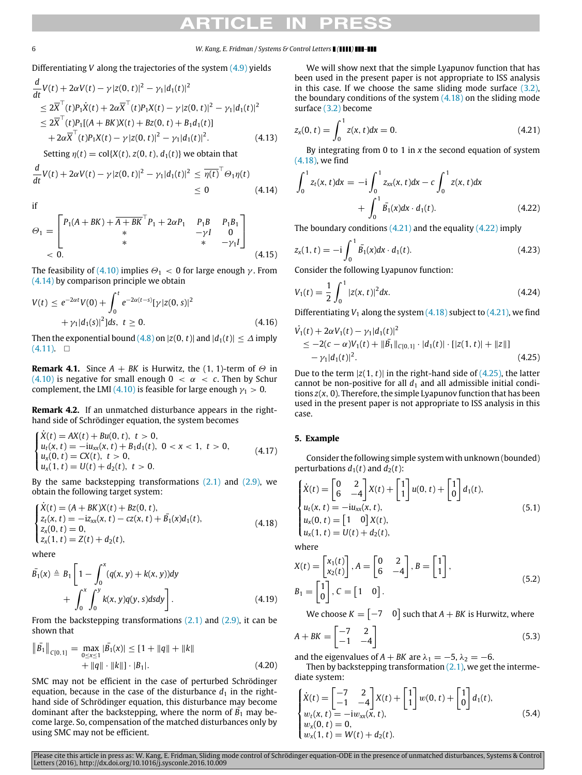Differentiating *V* along the trajectories of the system [\(4.9\)](#page-4-5) yields

$$
\frac{d}{dt}V(t) + 2\alpha V(t) - \gamma |z(0, t)|^2 - \gamma_1 |d_1(t)|^2
$$
\n
$$
\leq 2\overline{X}^\top(t)P_1\dot{X}(t) + 2\alpha \overline{X}^\top(t)P_1X(t) - \gamma |z(0, t)|^2 - \gamma_1 |d_1(t)|^2
$$
\n
$$
\leq 2\overline{X}^\top(t)P_1[(A + BK)X(t) + Bz(0, t) + B_1d_1(t)]
$$
\n
$$
+ 2\alpha \overline{X}^\top(t)P_1X(t) - \gamma |z(0, t)|^2 - \gamma_1 |d_1(t)|^2. \tag{4.13}
$$

Setting  $\eta(t) = \text{col}\{X(t), z(0, t), d_1(t)\}$  we obtain that

<span id="page-5-1"></span>
$$
\frac{d}{dt}V(t) + 2\alpha V(t) - \gamma |z(0, t)|^2 - \gamma_1 |d_1(t)|^2 \leq \overline{\eta(t)}^\top \Theta_1 \eta(t) \leq 0 \qquad (4.14)
$$

if

$$
\Theta_{1} = \begin{bmatrix} P_{1}(A + BK) + \overline{A + BK}^{\top} P_{1} + 2\alpha P_{1} & P_{1}B & P_{1}B_{1} \\ * & * & -\gamma I & 0 \\ * & * & -\gamma_{1}I \end{bmatrix}
$$
  
< 0. (4.15)

The feasibility of [\(4.10\)](#page-4-6) implies  $\Theta_1 < 0$  for large enough  $\gamma$ . From [\(4.14\)](#page-5-1) by comparison principle we obtain

$$
V(t) \le e^{-2\alpha t} V(0) + \int_0^t e^{-2\alpha(t-s)} [\gamma |z(0, s)|^2 + \gamma_1 |d_1(s)|^2] ds, \ t \ge 0.
$$
 (4.16)

Then the exponential bound [\(4.8\)](#page-4-7) on  $|z(0, t)|$  and  $|d_1(t)| \leq \Delta$  imply  $(4.11)$ . □

**Remark 4.1.** Since  $A + BK$  is Hurwitz, the (1, 1)-term of  $\Theta$  in [\(4.10\)](#page-4-6) is negative for small enough  $0 < \alpha < c$ . Then by Schur complement, the LMI [\(4.10\)](#page-4-6) is feasible for large enough  $\gamma_1 > 0$ .

**Remark 4.2.** If an unmatched disturbance appears in the righthand side of Schrödinger equation, the system becomes

$$
\begin{cases}\n\dot{X}(t) = AX(t) + Bu(0, t), \ t > 0, \\
u_t(x, t) = -iu_{xx}(x, t) + B_1d_1(t), \ 0 < x < 1, \ t > 0, \\
u_x(0, t) = CX(t), \ t > 0, \\
u_x(1, t) = U(t) + d_2(t), \ t > 0.\n\end{cases}
$$
\n(4.17)

By the same backstepping transformations  $(2.1)$  and  $(2.9)$ , we obtain the following target system:

<span id="page-5-2"></span>
$$
\begin{cases}\n\dot{X}(t) = (A + BK)X(t) + BZ(0, t), \\
Z_t(x, t) = -iz_{xx}(x, t) - cz(x, t) + \bar{B_1}(x)d_1(t), \\
Z_x(0, t) = 0, \\
Z_x(1, t) = Z(t) + d_2(t),\n\end{cases}
$$
\n(4.18)

where

$$
\bar{B}_1(x) \triangleq B_1 \left[ 1 - \int_0^x (q(x, y) + k(x, y)) dy + \int_0^x \int_0^y k(x, y) q(y, s) ds dy \right].
$$
\n(4.19)

From the backstepping transformations  $(2.1)$  and  $(2.9)$ , it can be shown that

$$
\|\bar{B}_1\|_{C[0,1]} = \max_{0 \le x \le 1} |\bar{B}_1(x)| \le [1 + ||q|| + ||k||+ ||q|| \cdot ||k||] \cdot |B_1|.
$$
 (4.20)

SMC may not be efficient in the case of perturbed Schrödinger equation, because in the case of the disturbance  $d_1$  in the righthand side of Schrödinger equation, this disturbance may become dominant after the backstepping, where the norm of  $\overline{B_1}$  may become large. So, compensation of the matched disturbances only by using SMC may not be efficient.

We will show next that the simple Lyapunov function that has been used in the present paper is not appropriate to ISS analysis in this case. If we choose the same sliding mode surface [\(3.2\),](#page-2-11) the boundary conditions of the system  $(4.18)$  on the sliding mode surface [\(3.2\)](#page-2-11) become

<span id="page-5-3"></span>
$$
z_x(0, t) = \int_0^1 z(x, t) dx = 0.
$$
 (4.21)

By integrating from 0 to 1 in *x* the second equation of system [\(4.18\),](#page-5-2) we find

<span id="page-5-4"></span>
$$
\int_0^1 z_t(x, t) dx = -i \int_0^1 z_{xx}(x, t) dx - c \int_0^1 z(x, t) dx
$$

$$
+ \int_0^1 \bar{B}_1(x) dx \cdot d_1(t).
$$
(4.22)

The boundary conditions  $(4.21)$  and the equality  $(4.22)$  imply

$$
z_x(1, t) = -i \int_0^1 \bar{B_1}(x) dx \cdot d_1(t).
$$
 (4.23)

Consider the following Lyapunov function:

$$
V_1(t) = \frac{1}{2} \int_0^1 |z(x, t)|^2 dx.
$$
 (4.24)

Differentiating  $V_1$  along the system  $(4.18)$  subject to  $(4.21)$ , we find

<span id="page-5-5"></span>
$$
\dot{V}_1(t) + 2\alpha V_1(t) - \gamma_1 |d_1(t)|^2
$$
\n
$$
\leq -2(c - \alpha)V_1(t) + \|\vec{B}_1\|_{C[0,1]} \cdot |d_1(t)| \cdot [|z(1, t)| + \|z\|]
$$
\n
$$
-\gamma_1 |d_1(t)|^2. \tag{4.25}
$$

Due to the term  $|z(1, t)|$  in the right-hand side of  $(4.25)$ , the latter cannot be non-positive for all  $d_1$  and all admissible initial conditions *z*(*x*, 0). Therefore, the simple Lyapunov function that has been used in the present paper is not appropriate to ISS analysis in this case.

### <span id="page-5-0"></span>**5. Example**

Consider the following simple system with unknown (bounded) perturbations  $d_1(t)$  and  $d_2(t)$ :

<span id="page-5-6"></span>
$$
\begin{cases}\n\dot{X}(t) = \begin{bmatrix} 0 & 2 \\ 6 & -4 \end{bmatrix} X(t) + \begin{bmatrix} 1 \\ 1 \end{bmatrix} u(0, t) + \begin{bmatrix} 1 \\ 0 \end{bmatrix} d_1(t), \\
u_t(x, t) = -iu_{xx}(x, t), \\
u_x(0, t) = \begin{bmatrix} 1 & 0 \end{bmatrix} X(t), \\
u_x(1, t) = U(t) + d_2(t),\n\end{cases}
$$
\n(5.1)

where

$$
X(t) = \begin{bmatrix} x_1(t) \\ x_2(t) \end{bmatrix}, A = \begin{bmatrix} 0 & 2 \\ 6 & -4 \end{bmatrix}, B = \begin{bmatrix} 1 \\ 1 \end{bmatrix},
$$
  
\n
$$
B_1 = \begin{bmatrix} 1 \\ 0 \end{bmatrix}, C = \begin{bmatrix} 1 & 0 \end{bmatrix}.
$$
\n(5.2)

We choose  $K = \begin{bmatrix} -7 & 0 \end{bmatrix}$  such that  $A + BK$  is Hurwitz, where

$$
A + BK = \begin{bmatrix} -7 & 2\\ -1 & -4 \end{bmatrix} \tag{5.3}
$$

and the eigenvalues of  $A + BK$  are  $\lambda_1 = -5$ ,  $\lambda_2 = -6$ .

Then by backstepping transformation  $(2.1)$ , we get the intermediate system:

$$
\begin{cases}\n\dot{X}(t) = \begin{bmatrix} -7 & 2\\ -1 & -4 \end{bmatrix} X(t) + \begin{bmatrix} 1\\ 1 \end{bmatrix} w(0, t) + \begin{bmatrix} 1\\ 0 \end{bmatrix} d_1(t), \\
w_t(x, t) = -iw_{xx}(x, t), \\
w_x(0, t) = 0, \\
w_x(1, t) = W(t) + d_2(t).\n\end{cases}
$$
\n(5.4)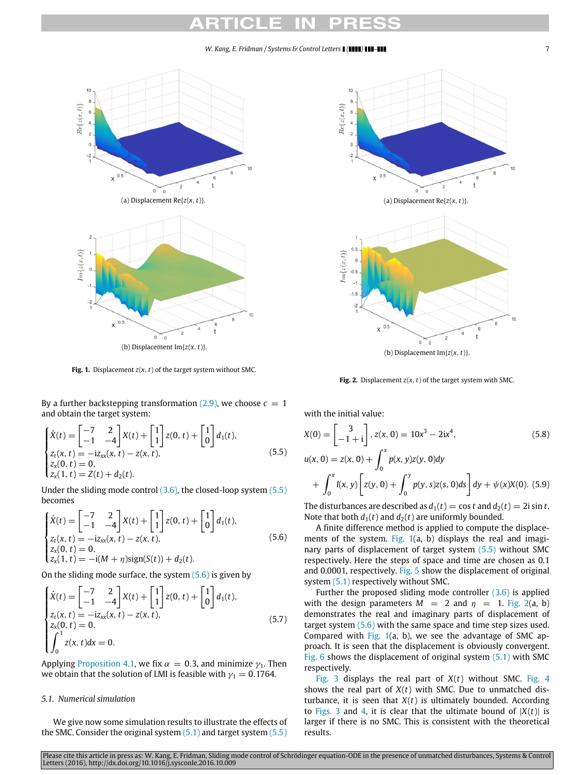<span id="page-6-3"></span>

**Fig. 1.** Displacement  $z(x, t)$  of the target system without SMC.

By a further backstepping transformation  $(2.9)$ , we choose  $c = 1$ and obtain the target system:

<span id="page-6-1"></span>
$$
\begin{cases}\n\dot{X}(t) = \begin{bmatrix} -7 & 2\\ -1 & -4 \end{bmatrix} X(t) + \begin{bmatrix} 1\\ 1 \end{bmatrix} z(0, t) + \begin{bmatrix} 1\\ 0 \end{bmatrix} d_1(t), \\
z_t(x, t) = -iz_{xx}(x, t) - z(x, t), \\
z_x(0, t) = 0, \\
z_x(1, t) = Z(t) + d_2(t).\n\end{cases}
$$
\n(5.5)

Under the sliding mode control [\(3.6\),](#page-2-1) the closed-loop system [\(5.5\)](#page-6-1) becomes

<span id="page-6-2"></span>
$$
\begin{cases}\n\dot{X}(t) = \begin{bmatrix} -7 & 2 \\ -1 & -4 \end{bmatrix} X(t) + \begin{bmatrix} 1 \\ 1 \end{bmatrix} z(0, t) + \begin{bmatrix} 1 \\ 0 \end{bmatrix} d_1(t), \\
z_t(x, t) = -iz_{xx}(x, t) - z(x, t), \\
z_x(0, t) = 0, \\
z_x(1, t) = -i(M + \eta) sign(S(t)) + d_2(t).\n\end{cases} (5.6)
$$

On the sliding mode surface, the system  $(5.6)$  is given by

$$
\begin{cases}\n\dot{X}(t) = \begin{bmatrix} -7 & 2\\ -1 & -4 \end{bmatrix} X(t) + \begin{bmatrix} 1\\ 1 \end{bmatrix} z(0, t) + \begin{bmatrix} 1\\ 0 \end{bmatrix} d_1(t), \\
z_t(x, t) = -iz_{xx}(x, t) - z(x, t), \\
z_x(0, t) = 0, \\
\int_0^1 z(x, t) dx = 0.\n\end{cases}
$$
\n(5.7)

Applying [Proposition 4.1,](#page-4-9) we fix  $\alpha = 0.3$ , and minimize  $\gamma_1$ . Then we obtain that the solution of LMI is feasible with  $\gamma_1 = 0.1764$ .

## *5.1. Numerical simulation*

We give now some simulation results to illustrate the effects of the SMC. Consider the original system  $(5.1)$  and target system  $(5.5)$ 

<span id="page-6-4"></span>

(b) Displacement Im{*z*(*x*, *t*)}.

**Fig. 2.** Displacement  $z(x, t)$  of the target system with SMC.

with the initial value:

$$
X(0) = \begin{bmatrix} 3 \\ -1 + i \end{bmatrix}, z(x, 0) = 10x^3 - 2ix^4,
$$
(5.8)  

$$
u(x, 0) = z(x, 0) + \int_0^x p(x, y)z(y, 0)dy + \int_0^x l(x, y) \left[ z(y, 0) + \int_0^y p(y, s)z(s, 0)ds \right] dy + \psi(x)X(0).
$$
(5.9)

The disturbances are described as  $d_1(t) = \cos t$  and  $d_2(t) = 2i \sin t$ . Note that both  $d_1(t)$  and  $d_2(t)$  are uniformly bounded.

A finite difference method is applied to compute the displace-ments of the system. [Fig. 1\(](#page-6-3)a, b) displays the real and imaginary parts of displacement of target system [\(5.5\)](#page-6-1) without SMC respectively. Here the steps of space and time are chosen as 0.1 and 0.0001, respectively. [Fig. 5](#page-7-0) show the displacement of original system [\(5.1\)](#page-5-6) respectively without SMC.

Further the proposed sliding mode controller  $(3.6)$  is applied with the design parameters  $M = 2$  and  $\eta = 1$ . [Fig. 2\(](#page-6-4)a, b) demonstrates the real and imaginary parts of displacement of target system [\(5.6\)](#page-6-2) with the same space and time step sizes used. Compared with [Fig. 1\(](#page-6-3)a, b), we see the advantage of SMC approach. It is seen that the displacement is obviously convergent. [Fig. 6](#page-7-1) shows the displacement of original system  $(5.1)$  with SMC respectively.

<span id="page-6-0"></span>[Fig. 3](#page-7-2) displays the real part of *X*(*t*) without SMC. [Fig. 4](#page-7-3) shows the real part of *X*(*t*) with SMC. Due to unmatched disturbance, it is seen that  $X(t)$  is ultimately bounded. According to [Figs. 3](#page-7-2) and [4,](#page-7-3) it is clear that the ultimate bound of  $|X(t)|$  is larger if there is no SMC. This is consistent with the theoretical results.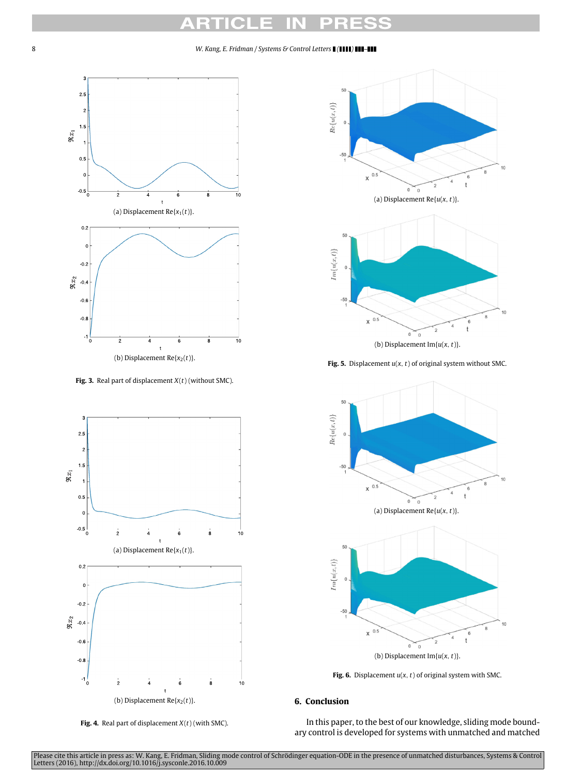<span id="page-7-2"></span>

(b) Displacement  $Re{x_2(t)}$ .

**Fig. 3.** Real part of displacement *X*(*t*) (without SMC).

<span id="page-7-3"></span>

**Fig. 4.** Real part of displacement *X*(*t*) (with SMC).

<span id="page-7-0"></span>

**Fig. 5.** Displacement *u*(*x*, *t*) of original system without SMC.

<span id="page-7-1"></span>



## **6. Conclusion**

In this paper, to the best of our knowledge, sliding mode boundary control is developed for systems with unmatched and matched